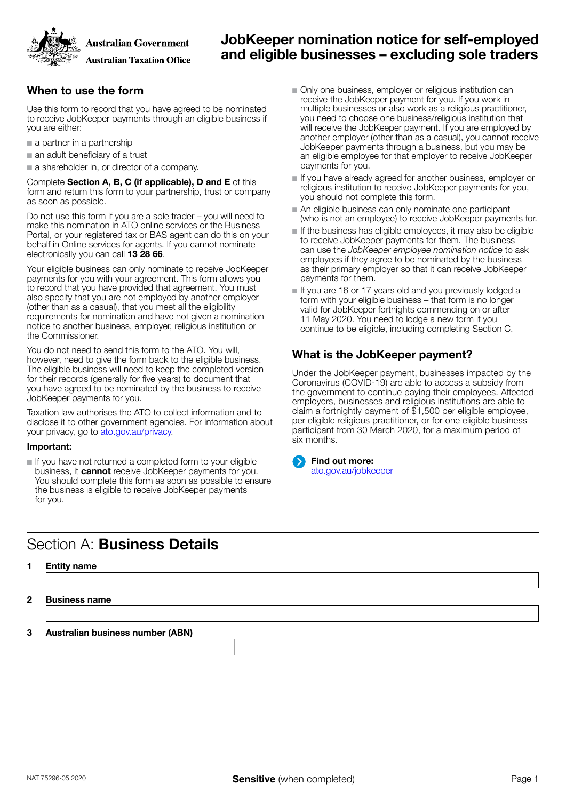**Australian Government** 



**Australian Taxation Office** 

## JobKeeper nomination notice for self-employed and eligible businesses – excluding sole traders

### When to use the form

Use this form to record that you have agreed to be nominated to receive JobKeeper payments through an eligible business if you are either:

- a partner in a partnership
- an adult beneficiary of a trust

■ a shareholder in, or director of a company.

Complete Section A, B, C (if applicable), D and E of this form and return this form to your partnership, trust or company as soon as possible.

Do not use this form if you are a sole trader – you will need to make this nomination in ATO online services or the Business Portal, or your registered tax or BAS agent can do this on your behalf in Online services for agents. If you cannot nominate electronically you can call 13 28 66.

Your eligible business can only nominate to receive JobKeeper payments for you with your agreement. This form allows you to record that you have provided that agreement. You must also specify that you are not employed by another employer (other than as a casual), that you meet all the eligibility requirements for nomination and have not given a nomination notice to another business, employer, religious institution or the Commissioner.

You do not need to send this form to the ATO. You will, however, need to give the form back to the eligible business. The eligible business will need to keep the completed version for their records (generally for five years) to document that you have agreed to be nominated by the business to receive JobKeeper payments for you.

Taxation law authorises the ATO to collect information and to disclose it to other government agencies. For information about your privacy, go to [ato.gov.au/privacy.](http://ato.gov.au/privacy)

### Important:

■ If you have not returned a completed form to your eligible business, it **cannot** receive JobKeeper payments for you. You should complete this form as soon as possible to ensure the business is eligible to receive JobKeeper payments for you.

# Section A: Business Details

- 1 Entity name
- 2 Business name

3 Australian business number (ABN)

- Only one business, employer or religious institution can receive the JobKeeper payment for you. If you work in multiple businesses or also work as a religious practitioner, you need to choose one business/religious institution that will receive the JobKeeper payment. If you are employed by another employer (other than as a casual), you cannot receive JobKeeper payments through a business, but you may be an eligible employee for that employer to receive JobKeeper payments for you.
- If you have already agreed for another business, employer or religious institution to receive JobKeeper payments for you, you should not complete this form.
- An eligible business can only nominate one participant (who is not an employee) to receive JobKeeper payments for.
- If the business has eligible employees, it may also be eligible to receive JobKeeper payments for them. The business can use the *JobKeeper employee nomination notice* to ask employees if they agree to be nominated by the business as their primary employer so that it can receive JobKeeper payments for them.
- If you are 16 or 17 years old and you previously lodged a form with your eligible business – that form is no longer valid for JobKeeper fortnights commencing on or after 11 May 2020. You need to lodge a new form if you continue to be eligible, including completing Section C.

## What is the JobKeeper payment?

Under the JobKeeper payment, businesses impacted by the Coronavirus (COVID-19) are able to access a subsidy from the government to continue paying their employees. Affected employers, businesses and religious institutions are able to claim a fortnightly payment of \$1,500 per eligible employee, per eligible religious practitioner, or for one eligible business participant from 30 March 2020, for a maximum period of six months.

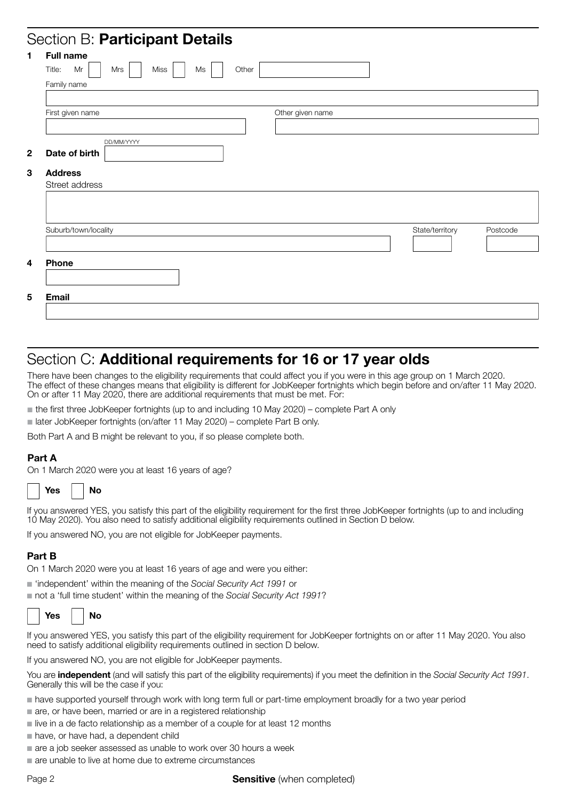## Section B: Particinant Details

| <b>Full name</b>                  |                  |                             |
|-----------------------------------|------------------|-----------------------------|
| Title:<br>Mr<br>Miss<br>Mrs<br>Ms | Other            |                             |
| Family name                       |                  |                             |
|                                   |                  |                             |
| First given name                  | Other given name |                             |
|                                   |                  |                             |
| DD/MM/YYYY                        |                  |                             |
| Date of birth                     |                  |                             |
| <b>Address</b>                    |                  |                             |
| Street address                    |                  |                             |
|                                   |                  |                             |
|                                   |                  |                             |
|                                   |                  |                             |
| Suburb/town/locality              |                  | State/territory<br>Postcode |
|                                   |                  |                             |
| Phone                             |                  |                             |
|                                   |                  |                             |
|                                   |                  |                             |
|                                   |                  |                             |

## Section C: Additional requirements for 16 or 17 year olds

There have been changes to the eligibility requirements that could affect you if you were in this age group on 1 March 2020. The effect of these changes means that eligibility is different for JobKeeper fortnights which begin before and on/after 11 May 2020. On or after 11 May 2020, there are additional requirements that must be met. For:

■ the first three JobKeeper fortnights (up to and including 10 May 2020) – complete Part A only

■ later JobKeeper fortnights (on/after 11 May 2020) – complete Part B only.

Both Part A and B might be relevant to you, if so please complete both.

### Part A

On 1 March 2020 were you at least 16 years of age?

| <b>Yes</b> | N٥ |
|------------|----|
|------------|----|

If you answered YES, you satisfy this part of the eligibility requirement for the first three JobKeeper fortnights (up to and including 10 May 2020). You also need to satisfy additional eligibility requirements outlined in Section D below.

If you answered NO, you are not eligible for JobKeeper payments.

## Part B

On 1 March 2020 were you at least 16 years of age and were you either:

■ 'independent' within the meaning of the *Social Security Act 1991* or

■ not a 'full time student' within the meaning of the *Social Security Act 1991?* 

| N٨<br>⁄ρς |
|-----------|
|-----------|

If you answered YES, you satisfy this part of the eligibility requirement for JobKeeper fortnights on or after 11 May 2020. You also need to satisfy additional eligibility requirements outlined in section D below.

If you answered NO, you are not eligible for JobKeeper payments.

You are independent (and will satisfy this part of the eligibility requirements) if you meet the definition in the *Social Security Act 1991*. Generally this will be the case if you:

- have supported yourself through work with long term full or part-time employment broadly for a two year period
- are, or have been, married or are in a registered relationship
- live in a de facto relationship as a member of a couple for at least 12 months
- have, or have had, a dependent child
- are a job seeker assessed as unable to work over 30 hours a week
- are unable to live at home due to extreme circumstances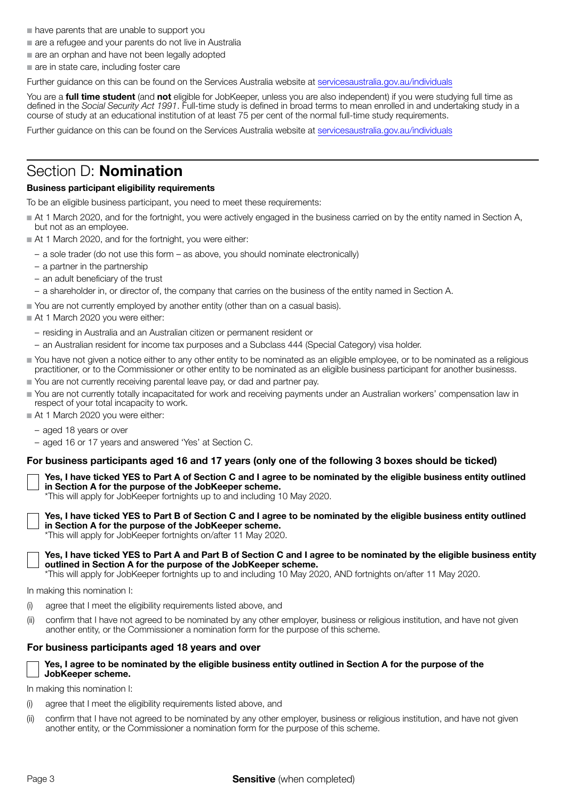- have parents that are unable to support you
- are a refugee and your parents do not live in Australia
- are an orphan and have not been legally adopted
- are in state care, including foster care

Further guidance on this can be found on the Services Australia website at [servicesaustralia.gov.au/individuals](https://servicesaustralia.gov.au/individuals)

You are a full time student (and not eligible for JobKeeper, unless you are also independent) if you were studying full time as defined in the *Social Security Act 1991*. Full-time study is defined in broad terms to mean enrolled in and undertaking study in a course of study at an educational institution of at least 75 per cent of the normal full-time study requirements.

Further guidance on this can be found on the Services Australia website at [servicesaustralia.gov.au/individuals](https://servicesaustralia.gov.au/individuals)

## Section D: **Nomination**

### Business participant eligibility requirements

To be an eligible business participant, you need to meet these requirements:

- At 1 March 2020, and for the fortnight, you were actively engaged in the business carried on by the entity named in Section A, but not as an employee.
- At 1 March 2020, and for the fortnight, you were either:
	- a sole trader (do not use this form as above, you should nominate electronically)
	- a partner in the partnership
	- an adult beneficiary of the trust
	- a shareholder in, or director of, the company that carries on the business of the entity named in Section A.
- You are not currently employed by another entity (other than on a casual basis).
- At 1 March 2020 you were either:
	- residing in Australia and an Australian citizen or permanent resident or
	- an Australian resident for income tax purposes and a Subclass 444 (Special Category) visa holder.
- You have not given a notice either to any other entity to be nominated as an eligible employee, or to be nominated as a religious practitioner, or to the Commissioner or other entity to be nominated as an eligible business participant for another businesss.
- You are not currently receiving parental leave pay, or dad and partner pay.
- You are not currently totally incapacitated for work and receiving payments under an Australian workers' compensation law in respect of your total incapacity to work.
- At 1 March 2020 you were either:
	- aged 18 years or over
	- aged 16 or 17 years and answered 'Yes' at Section C.

### For business participants aged 16 and 17 years (only one of the following 3 boxes should be ticked)

Yes, I have ticked YES to Part A of Section C and I agree to be nominated by the eligible business entity outlined in Section A for the purpose of the JobKeeper scheme.

\*This will apply for JobKeeper fortnights up to and including 10 May 2020.

Yes, I have ticked YES to Part B of Section C and I agree to be nominated by the eligible business entity outlined in Section A for the purpose of the JobKeeper scheme.

\*This will apply for JobKeeper fortnights on/after 11 May 2020.



Yes, I have ticked YES to Part A and Part B of Section C and I agree to be nominated by the eligible business entity outlined in Section A for the purpose of the JobKeeper scheme.

\*This will apply for JobKeeper fortnights up to and including 10 May 2020, AND fortnights on/after 11 May 2020.

In making this nomination I:

- (i) agree that I meet the eligibility requirements listed above, and
- (ii) confirm that I have not agreed to be nominated by any other employer, business or religious institution, and have not given another entity, or the Commissioner a nomination form for the purpose of this scheme.

#### For business participants aged 18 years and over

#### Yes, I agree to be nominated by the eligible business entity outlined in Section A for the purpose of the JobKeeper scheme.

In making this nomination I:

- (i) agree that I meet the eligibility requirements listed above, and
- (ii) confirm that I have not agreed to be nominated by any other employer, business or religious institution, and have not given another entity, or the Commissioner a nomination form for the purpose of this scheme.